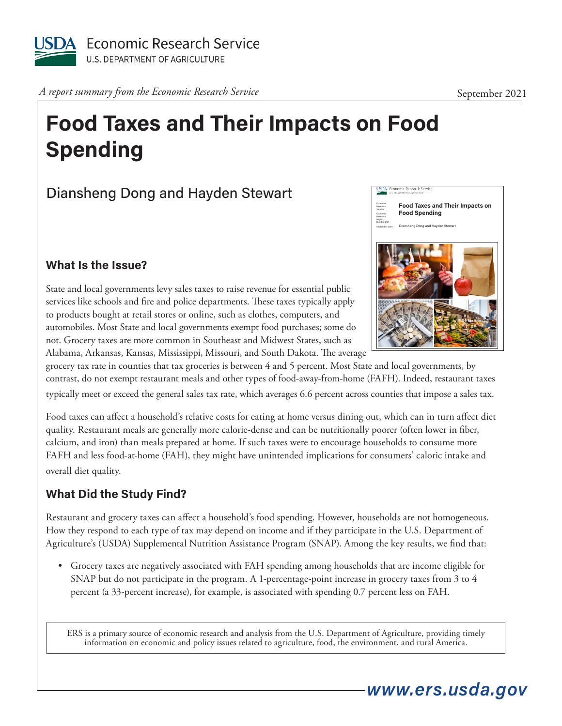

*A report summary from the Economic Research Service* September 2021

# **Food Taxes and Their Impacts on Food Spending**

## Diansheng Dong and Hayden Stewart

#### **What Is the Issue?**

State and local governments levy sales taxes to raise revenue for essential public services like schools and fire and police departments. These taxes typically apply to products bought at retail stores or online, such as clothes, computers, and automobiles. Most State and local governments exempt food purchases; some do not. Grocery taxes are more common in Southeast and Midwest States, such as Alabama, Arkansas, Kansas, Mississippi, Missouri, and South Dakota. The average



grocery tax rate in counties that tax groceries is between 4 and 5 percent. Most State and local governments, by contrast, do not exempt restaurant meals and other types of food-away-from-home (FAFH). Indeed, restaurant taxes typically meet or exceed the general sales tax rate, which averages 6.6 percent across counties that impose a sales tax.

Food taxes can affect a household's relative costs for eating at home versus dining out, which can in turn affect diet quality. Restaurant meals are generally more calorie-dense and can be nutritionally poorer (often lower in fiber, calcium, and iron) than meals prepared at home. If such taxes were to encourage households to consume more FAFH and less food-at-home (FAH), they might have unintended implications for consumers' caloric intake and overall diet quality.

### **What Did the Study Find?**

Restaurant and grocery taxes can affect a household's food spending. However, households are not homogeneous. How they respond to each type of tax may depend on income and if they participate in the U.S. Department of Agriculture's (USDA) Supplemental Nutrition Assistance Program (SNAP). Among the key results, we find that:

• Grocery taxes are negatively associated with FAH spending among households that are income eligible for SNAP but do not participate in the program. A 1-percentage-point increase in grocery taxes from 3 to 4 percent (a 33-percent increase), for example, is associated with spending 0.7 percent less on FAH.

ERS is a primary source of economic research and analysis from the U.S. Department of Agriculture, providing timely information on economic and policy issues related to agriculture, food, the environment, and rural America.